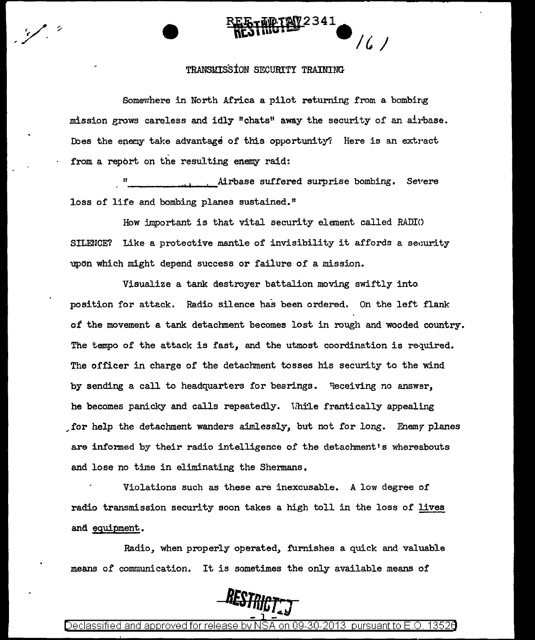#### TRANSMISSION SECURITY TRAINING

/ (, )

Somewhere in North Africa a pilot returning from a bombing mission grows careless and idly "chats" away the security of an airbase. Does the enemy take advantage of this opportunity? Here is an extract from a report on the resulting enemy raid:

11 Airbase suffered surprise bombing. Severe<br>10ss of life and bombing planes sustained."

How important is that vital security element called RADIO SILENCE? Like a protective mantle of invisibility it affords a security upon which might depend success or failure of a mission.

Visualize a tank destroyer battalion moving swiftly into position for attack. Radio silence has been ordered. On the left flank *ot* the movement a tank detachment becomes lost in rough and wooded country. The tempo of the attack is fast, and the utmost coordination is required. The officer in charge of the detachment tosses his security to the wind by sending a call to headquarters for bearings. Receiving no answer, he becomes panicky and calls repeatedly. While frantically appealing ~for help the detachment wanders aimlessly, but not for long. Enemr planes are informed by their radio intelligence of the detachment's whereabouts and lose no time in eliminating the Shennans.

Violations such as these are inexcusable. A low degree of radio transmission security soon takes a high toll in the loss of lives and equipment.

Radio, when properly operated, furnishes a quick and valuable means *o!* communication. It is sometimes the only available means of



)eclassified and approved for release bv NSA on 09-30-2013  $\,$  pursuant to E.O. 13526  $\,$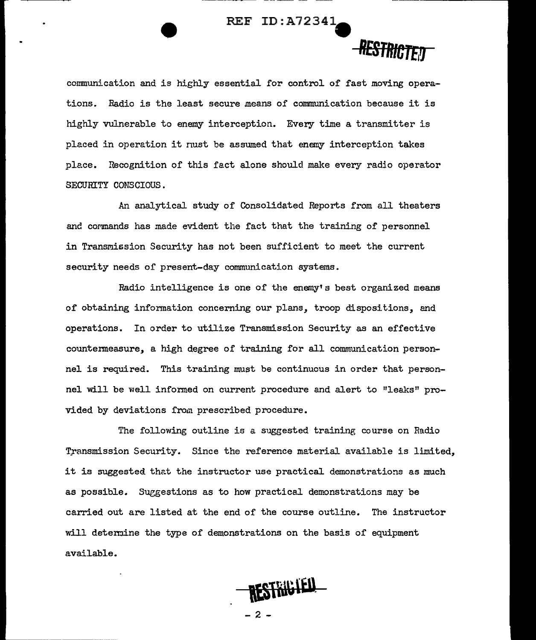#### REF ID: A72341-

## RESTRICTED

--------------.,

communication and is highly essential for control of fast moving operations. Radio is the least secure means of communication because it is highly vulnerable to enemy interception. Every time a transmitter is placed in operation it nust be assumed that enemy interception takes ple.ce. Recognition of this fact alone should make every radio operator SECURITY CONSCIOUS .

.An analytical study of Consolidated Reports from all theaters and commands has made evident the fact that the training of personnel in Transmission Security has not been sufficient to meet the current security needs of present-day communication systems.

Radio intelligence is one of the enemy's best organized means of obtaining information concerning our plans, troop dispositions, and operations. In order to utilize Transmission Security as an effective countermeasure, a high degree of training for all communication personnel is required. This training must be continuous in order that personnel will be well informed on current procedure and alert to "leaks" provided by deviations from prescribed procedure.

The following outline is a suggested training course on Radio Transmission Security. Since the reference material available is limited, it is suggested that the instructor use practical demonstrations as much as possible. Suggestions as to how practical demonstrations may be carried out are listed at the end of the course outline. The instructor will determine the type of demonstrations on the basis of equipment available.

RESTRICTED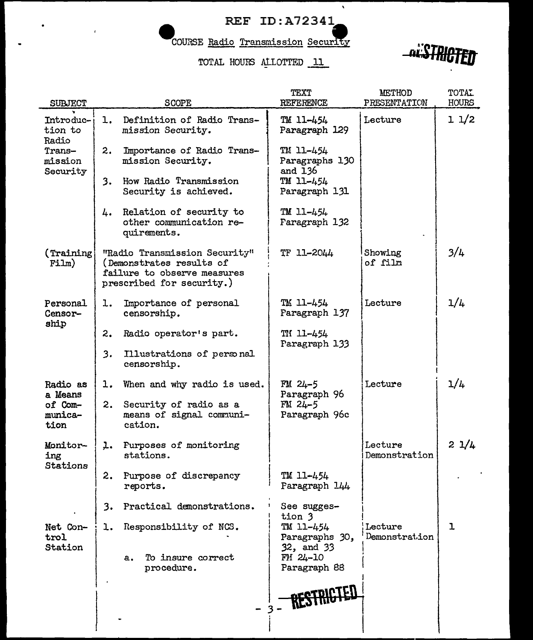### REF ID:A72341

 $\hat{\mathbf{v}}$ 

COURSE Radio Transmission Security

TOTAL HOURS ALLOTTED 11



| <b>SUBJECT</b>                                                 | <b>SCOPE</b>                                                                                                          | TEXT<br><b>REFERENCE</b>                  | <b>MRIHOD</b><br>PRESENTATION | TOTAL<br>HOURS |
|----------------------------------------------------------------|-----------------------------------------------------------------------------------------------------------------------|-------------------------------------------|-------------------------------|----------------|
| Introduc-<br>tion to<br>Radio<br>Trans-<br>mission<br>Security | Definition of Radio Trans-<br>ı.<br>mission Security.                                                                 | TM 11-454<br>Paragraph 129                | Lecture                       | 11/2           |
|                                                                | Importance of Radio Trans-<br>2.<br>mission Security.                                                                 | TM 11-454<br>Paragraphs 130<br>and 136    |                               |                |
|                                                                | How Radio Transmission<br>3.<br>Security is achieved.                                                                 | TM 11-454<br>Paragraph 131                |                               |                |
|                                                                | Relation of security to<br>4.<br>other communication re-<br>quirements.                                               | TM 11-454<br>Faragraph 132                |                               |                |
| (Training)<br>Film)                                            | "Radio Transmission Security"<br>(Demonstrates results of<br>failure to observe measures<br>prescribed for security.) | TF 11-2044                                | Showing<br>of film            | 3/4            |
| Personal<br>Censor-<br>ship                                    | Importance of personal<br>ı.<br>censorship.                                                                           | TM 11-454<br>Faragraph 137                | Lecture                       | 1/4            |
|                                                                | Radio operator's part.<br>2.                                                                                          | TM 11-454<br>Paragraph 133                |                               |                |
|                                                                | 3.<br>Illustrations of personal<br>censorship.                                                                        |                                           |                               |                |
| Radio as<br>a Means<br>of Com-<br>munica-<br>tion              | When and why radio is used.<br>ı.                                                                                     | $FM 24-5$<br>Paragraph 96                 | Lecture                       | 1/4            |
|                                                                | 2.<br>Security of radio as a<br>means of signal communi-<br>cation.                                                   | $FW-5$<br>Paragraph 96c                   |                               |                |
| Monitor-<br>ing<br>Stations                                    | Purposes of monitoring<br>ı.<br>stations.                                                                             |                                           | Lecture<br>Demonstration      | 21/4           |
|                                                                | 2.<br>Purpose of discrepancy<br>reports.                                                                              | TM 11-454<br>Faragraph 144                |                               |                |
|                                                                | Practical demonstrations.<br>3.                                                                                       | See sugges-<br>tion 3                     |                               |                |
| Net Con-<br>trol<br>Station                                    | Responsibility of NCS.<br>ı.                                                                                          | TM 11-454<br>Paragraphs 30,<br>32, and 33 | Lecture<br>Demonstration      | ı              |
|                                                                | To insure correct<br>a.<br>procedure.                                                                                 | $FM 24-10$<br>Paragraph 88                |                               |                |
|                                                                |                                                                                                                       | RESTRICT                                  |                               |                |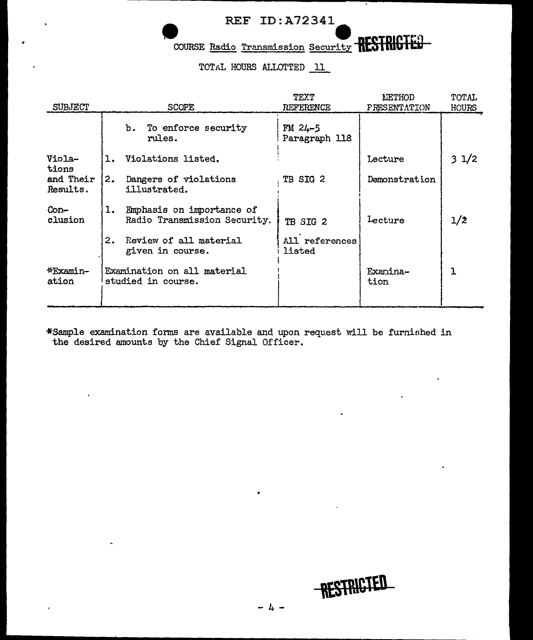# - ---~--~~~~~~~~~------------------------"""'":--------------------...... - REF ID:A72341- ~"

COURSE Radio Transmission Security RESTRIGTE.

TOTAL HOURS ALLOTTED 11

| SUBJECT               |                                                   | <b>SCOPE</b>                                              | TEXT<br>REFERENCE          | LETHOD<br>PRESENTATION | TOTAL<br>HOURS |
|-----------------------|---------------------------------------------------|-----------------------------------------------------------|----------------------------|------------------------|----------------|
|                       |                                                   | b. To enforce security<br>rules.                          | $FM 24-5$<br>Paragraph 118 |                        |                |
| Viola-<br>tions       | ı.                                                | Violations listed.                                        |                            | Lecture                | 31/2           |
| and Their<br>Results. | 2.                                                | Dangers of violations<br>illustrated.                     | TB SIG 2                   | Demonstration          |                |
| Con-<br>clusion       | ı.                                                | Emphasis on importance of<br>Radio Transmission Security. | TB SIG 2                   | Lecture                | 1/2            |
|                       | 2.                                                | Review of all material<br>given in course.                | All references<br>listed   |                        |                |
| *Examin-<br>ation     | Examination on all material<br>studied in course. |                                                           |                            | Examina-<br>tion       |                |

\*Sample examination forms are available and upon request will be furniflhed in the desired amounts by the Chief Signal Officer.

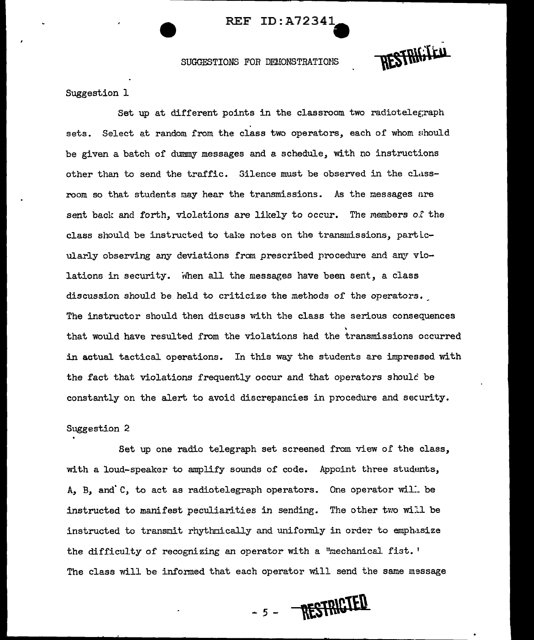#### REF ID: A72341-

SUGGESTIONS FOR DEMONSTRATIONS

RESTRIGIED

Suggestion 1

Set up at different points in the classroom two radiotelegraph sets. Select at random from the class two operators, each of whom should be given a batch of dummy messages and a schedule, with no instructions other than to send the traffic. Silence must be observed in the classroom so that students may hear the transmissions. As the messages are sent back and forth, violations are likely to occur. The members o.t the class should be instructed to take notes on the transmissions, particularly observing any deviations from prescribed procedure and any violations in security. When all the messages have been sent, a class discussion should be held to criticize the methods of the operators. The instructor should then discuss with the class the serious consequences ' that would have resulted from the violations had the transmissions occurred in actual tactical operations. In this way the students are impressed with the fact that violations frequently occur and that operators shoulc be constantly on the alert to avoid discrepancies in procedure and security.

#### Suggestion 2

Set up one radio telegraph set screened from view of the class, with a loud-speaker to amplify sounds of code. Appoint three students, A, B, and  $C$ , to act as radiotelegraph operators. One operator will be instructed to manifest peculiarities in sending. The other two will be instructed to transmit rhythmically and uniformly in order to emphasize the difficulty of recognizing an operator with a "mechanical fist.' The class will be informed that each operator will send the same message

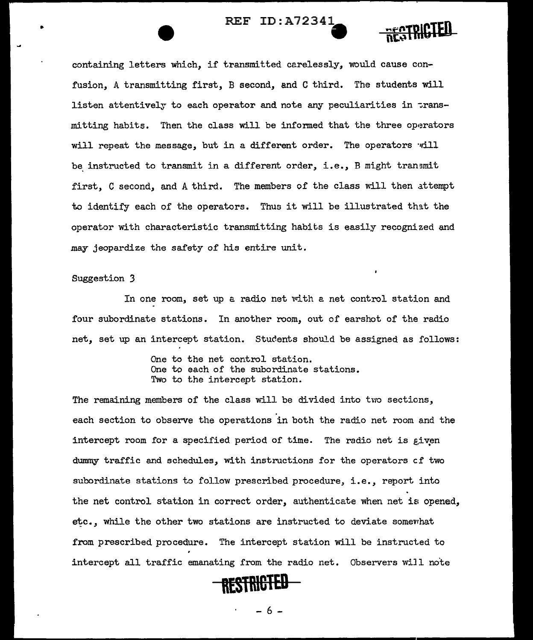#### REF ID:A72341



containing letters which, if transmitted carelessly, would cause confusion, A transmitting first, B second, and C third. The students will listen attentively to each operator and note any peculiarities in transmitting habits. Then the class will be informed that the three operators will repeat the message, but in a different order. The operators will be instructed to transmit in a different order, i.e., B might tran  $\sin t$ first, C second, and A third. The members of the class will then attempt to identify each of the operators. Thus it will be illustrated that the operator with characteristic transmitting habits is easily recognized and may jeopardize the safety of his entire unit.

#### Suggestion *3*

In one room, set up a radio net with a net control station and four subordinate stations. In another room, out of earshot of the radio net, set up an intercept station. Students should be assigned as follows:

> One to the net control station. One to each of the subordinate stations. Two to the intercept station.

The remaining members of the class will be divided into two sections, each section to observe the operations in both the radio net room and the intercept room for a specified period of time. The radio net is given dummy traffic and schedules, with instructions for the operators cf two subordinate stations to follow prescribed procedure, i.e., report into the net control station in correct order, authenticate when net is opened, etc., while the other two stations are instructed to deviate somewhat from prescribed procedure. The intercept station will be instructed to intercept all traffic emanating from the radio net. Observers wiJl note